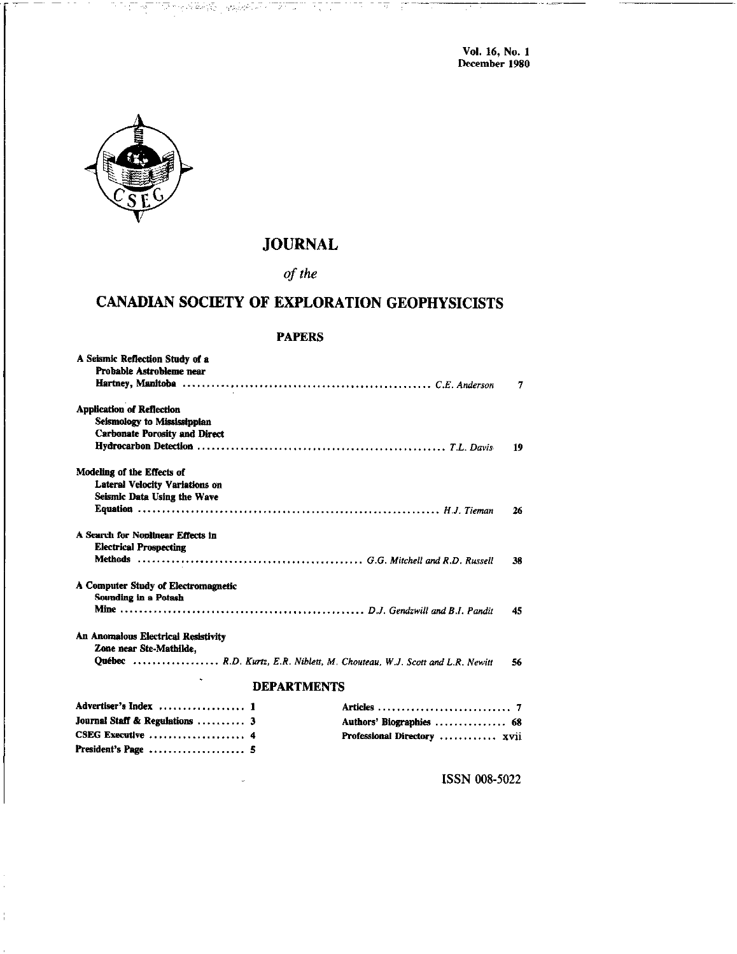**Vol. 16, No. 1**<br>December 1980



President's Page ..................... 5

## **JOURNAL**

n atar

tring.

 $-\frac{1}{\sqrt{2}}$ 

of the

## CANADIAN SOCIETY OF EXPLORATION GEOPHYSICISTS

#### **PAPERS**

| A Seismic Reflection Study of a<br>Probable Astrobleme near        |                                                                           | 7  |
|--------------------------------------------------------------------|---------------------------------------------------------------------------|----|
| <b>Application of Reflection</b>                                   |                                                                           |    |
| Seismology to Mississippian                                        |                                                                           |    |
| <b>Carbonate Porosity and Direct</b>                               |                                                                           |    |
|                                                                    |                                                                           | 19 |
| Modeling of the Effects of                                         |                                                                           |    |
| <b>Lateral Velocity Variations on</b>                              |                                                                           |    |
| Seismic Data Using the Wave                                        |                                                                           |    |
|                                                                    |                                                                           | 26 |
| A Search for Nonlinear Effects in                                  |                                                                           |    |
| <b>Electrical Prospecting</b>                                      |                                                                           |    |
|                                                                    |                                                                           | 38 |
| A Computer Study of Electromagnetic<br><b>Sounding in a Potash</b> |                                                                           |    |
|                                                                    |                                                                           | 45 |
| An Anomalous Electrical Resistivity<br>Zone near Ste-Mathilde,     |                                                                           |    |
|                                                                    | Québec  R.D. Kurtz, E.R. Niblett, M. Chouteau, W.J. Scott and L.R. Newitt | 56 |
|                                                                    | <b>DEPARTMENTS</b>                                                        |    |
| Advertiser's Index  1                                              |                                                                           |    |
| Journal Staff & Regulations  3                                     | Authors' Biographies  68                                                  |    |
| CSEG Executive  4                                                  | Professional Directory  xvii                                              |    |

ISSN 008-5022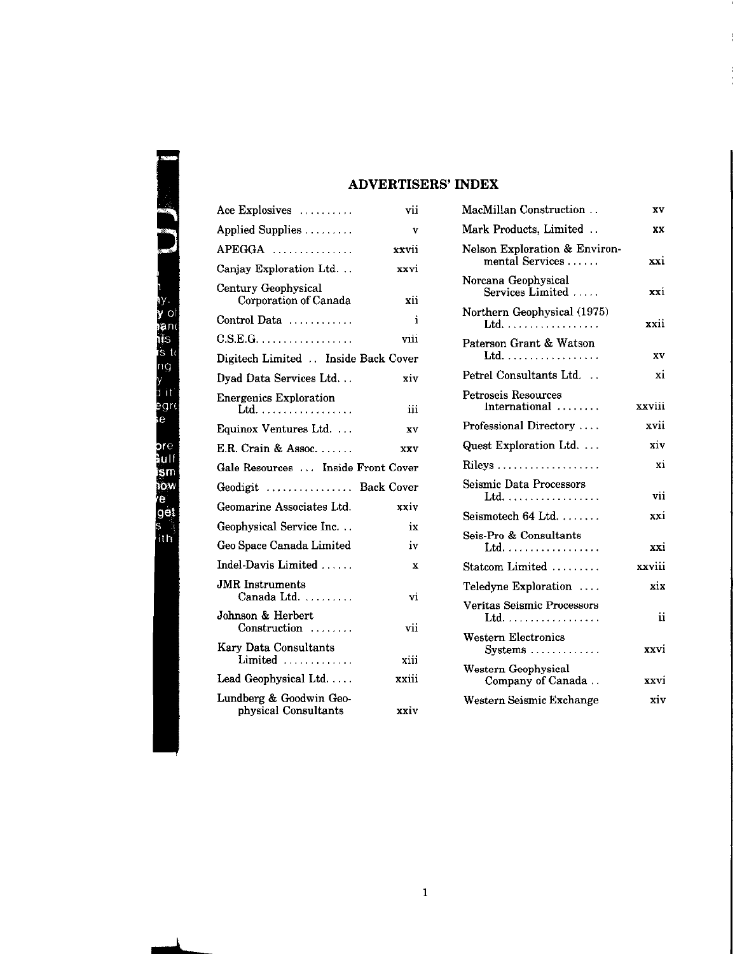### ADVERTISERS' INDEX

| Ace Explosives                                  | vii   |  |
|-------------------------------------------------|-------|--|
| Applied Supplies                                | v     |  |
| APEGGA                                          | xxvii |  |
| Canjay Exploration Ltd                          | xxvi  |  |
| Century Geophysical<br>Corporation of Canada    | xii   |  |
| Control Data                                    | i     |  |
| $C.S.E.G. \ldots \ldots \ldots \ldots \ldots$   | viii  |  |
| Digitech Limited  Inside Back Cover             |       |  |
| Dyad Data Services Ltd                          | xiv   |  |
| <b>Energenics Exploration</b><br>Ltd.           | iii   |  |
| Equinox Ventures Ltd                            | XV    |  |
| E.R. Crain & Assoc.                             | XXV   |  |
| Gale Resources  Inside Front Cover              |       |  |
| Geodigit  Back Cover                            |       |  |
| Geomarine Associates Ltd.                       | xxiv  |  |
| Geophysical Service Inc<br>iх                   |       |  |
| Geo Space Canada Limited<br>iv                  |       |  |
| Indel-Davis Limited                             | X     |  |
| JMR Instruments<br>Canada Ltd.                  | vi    |  |
| Johnson & Herbert<br>Construction               | vii   |  |
| <b>Kary Data Consultants</b><br>Limited         | xiii  |  |
| Lead Geophysical Ltd                            | xxiii |  |
| Lundberg & Goodwin Geo-<br>physical Consultants | xxiv  |  |

| MacMillan Construction                           | XV     |
|--------------------------------------------------|--------|
| Mark Products, Limited                           | XX     |
| Nelson Exploration & Environ-<br>mental Services | xxi    |
| Norcana Geophysical<br>Services Limited          | xxi    |
| Northern Geophysical (1975)<br>Ltd.              | xxii   |
| Paterson Grant & Watson<br>Ltd.                  | xv     |
| Petrel Consultants Ltd                           | xi     |
| <b>Petroseis Resources</b><br>$International$    | xxviii |
| Professional Directory                           | xvii   |
| Quest Exploration Ltd.                           | xiv    |
|                                                  | xi     |
| Seismic Data Processors<br>Ltd.                  | vii    |
| Seismotech 64 Ltd.                               | xxi    |
| Seis-Pro & Consultants<br>Ltd.                   | xxi    |
| Statcom Limited                                  | xxviii |
| Teledyne Exploration                             | xix    |
| Veritas Seismic Processors<br>Ltd.               | ii     |
| Western Electronics<br>Systems                   | xxvi   |
| Western Geophysical<br>Company of Canada         | xxvi   |
| Western Seismic Exchange                         | xiv    |

÷

| i<br>ĺ |  |
|--------|--|
|        |  |
|        |  |
|        |  |
|        |  |
|        |  |
|        |  |
|        |  |
| ĺ      |  |
|        |  |
|        |  |
|        |  |
|        |  |
|        |  |
|        |  |
| f<br>} |  |
|        |  |
|        |  |
|        |  |
|        |  |
|        |  |
|        |  |
|        |  |
|        |  |
|        |  |
|        |  |
|        |  |
|        |  |
|        |  |
|        |  |
|        |  |
|        |  |
|        |  |
|        |  |
|        |  |
|        |  |
|        |  |
|        |  |
|        |  |
|        |  |
|        |  |
|        |  |

P,

ľ

y<br>d<br>e

k

**So the complete of the complete**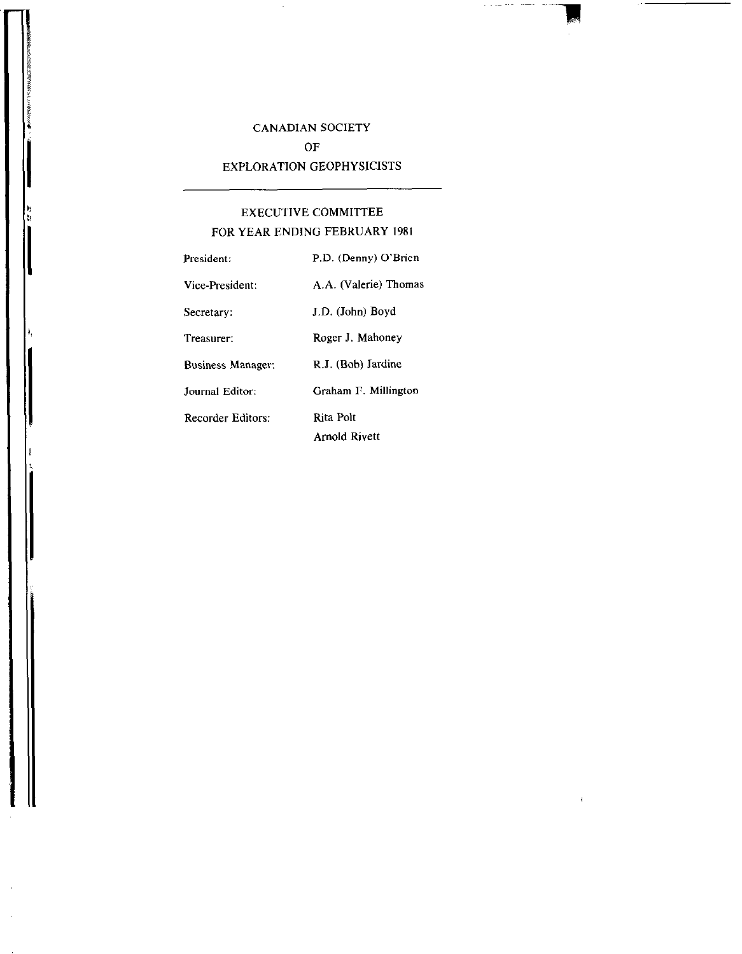## CANADIAN SOCIETY OF EXPLORATION GEOPHYSICISTS

 $\alpha$  ,  $\alpha$  , and  $\alpha$ 

 $\overline{1}$ 

## EXECUTIVE COMMITTEE FOR YEAR ENDING FEBRUARY 1981

| President:               | P.D. (Denny) O'Brien  |
|--------------------------|-----------------------|
| Vice-President:          | A.A. (Valerie) Thomas |
| Secretary:               | J.D. (John) Boyd      |
| Treasurer:               | Roger J. Mahoney      |
| <b>Business Manager:</b> | R.J. (Bob) Jardine    |
| Journal Editor:          | Graham F. Millington  |
| Recorder Editors:        | Rita Polt             |
|                          | Arnold Rivett         |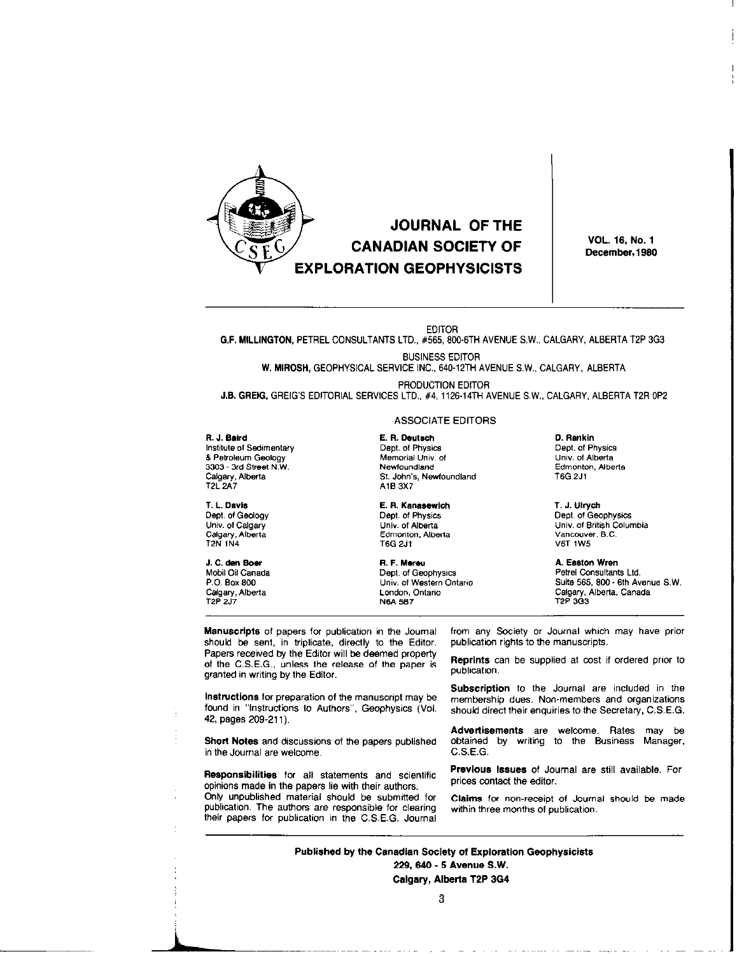

**VOL. 16, No. 1** December, 1980

**EDITOR** 

G.F. MILLINGTON, PETREL CONSULTANTS LTD., #565, 800-6TH AVENUE S.W., CALGARY, ALBERTA T2P 3G3

#### **BUSINESS EDITOR**

W. MIROSH, GEOPHYSICAL SERVICE INC., 640-12TH AVENUE S.W., CALGARY, ALBERTA

PRODUCTION EDITOR J.B. GREIG, GREIG'S EDITORIAL SERVICES LTD., #4, 1126-14TH AVENUE S.W., CALGARY, ALBERTA T2R 0P2

#### R. J. Baird

Institute of Sedimentary & Petroleum Geology 3303 - 3rd Street N.W. Calgary, Alberta **T2L 2A7** 

T. L. Davis Dept. of Geology Univ. of Calgary Calgary, Alberta T2N 1N4

J. C. den Boer Mobil Oil Canada P.O. Box 800 Calgary, Alberta T2P 2J7

#### **ASSOCIATE EDITORS**

E. R. Deutsch Dept. of Physics Memorial Univ. of Newfoundland St. John's, Newfoundland A1B 3X7

E. R. Kanasewich Dept. of Physics Univ. of Alberta Edmonton, Alberta **T6G 2J1** 

R. F. Mereu Dept. of Geophysics Univ. of Western Ontario London, Ontario N6A 5B7

D. Rankin Dept. of Physics Univ. of Alberta Edmonton, Alberta T6G 2J1

T. J. Ulrych Dept. of Geophysics Univ. of British Columbia Vancouver, B.C. **V6T 1W5** 

A. Easton Wren Petrel Consultants Ltd. Suite 565, 800 - 6th Avenue S.W. Calgary, Alberta, Canada T2P 3O3

Manuscripts of papers for publication in the Journal should be sent, in triplicate, directly to the Editor. Papers received by the Editor will be deemed property of the C.S.E.G., unless the release of the paper is granted in writing by the Editor.

Instructions for preparation of the manuscript may be found in "Instructions to Authors", Geophysics (Vol. 42, pages 209-211).

Short Notes and discussions of the papers published in the Journal are welcome.

Responsibilities for all statements and scientific opinions made in the papers lie with their authors. Only unpublished material should be submitted for publication. The authors are responsible for clearing their papers for publication in the C.S.E.G. Journal from any Society or Journal which may have prior publication rights to the manuscripts.

Reprints can be supplied at cost if ordered prior to publication.

Subscription to the Journal are included in the membership dues. Non-members and organizations should direct their enquiries to the Secretary, C.S.E.G.

Advertisements are welcome. Rates may be obtained by writing to the Business Manager,  $C.S.E.G.$ 

Previous Issues of Journal are still available. For prices contact the editor.

Claims for non-receipt of Journal should be made within three months of publication.

Published by the Canadian Society of Exploration Geophysicists 229, 640 - 5 Avenue S.W.

Calgary, Alberta T2P 3G4